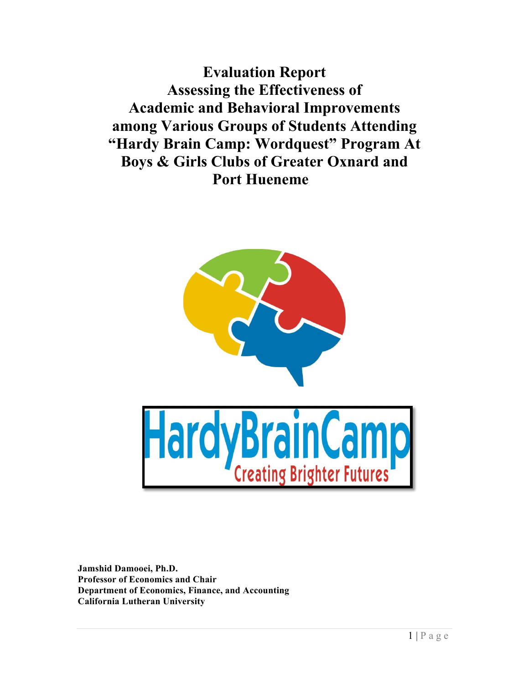**Evaluation Report Assessing the Effectiveness of Academic and Behavioral Improvements among Various Groups of Students Attending "Hardy Brain Camp: Wordquest" Program At Boys & Girls Clubs of Greater Oxnard and Port Hueneme** 



**Jamshid Damooei, Ph.D. Professor of Economics and Chair Department of Economics, Finance, and Accounting California Lutheran University**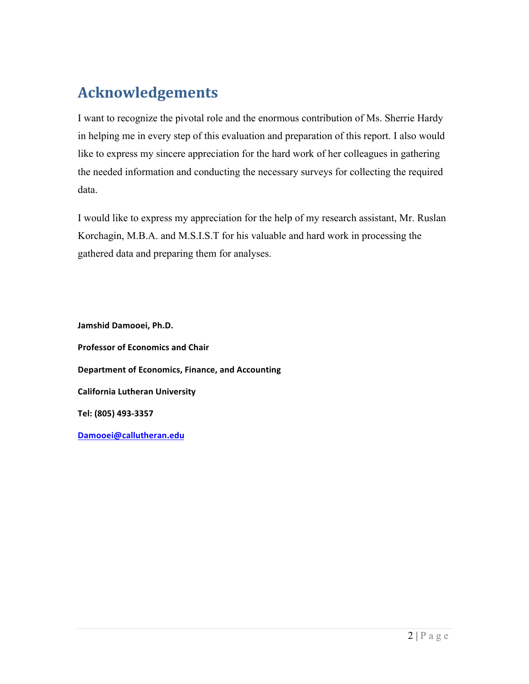# **Acknowledgements**

I want to recognize the pivotal role and the enormous contribution of Ms. Sherrie Hardy in helping me in every step of this evaluation and preparation of this report. I also would like to express my sincere appreciation for the hard work of her colleagues in gathering the needed information and conducting the necessary surveys for collecting the required data.

I would like to express my appreciation for the help of my research assistant, Mr. Ruslan Korchagin, M.B.A. and M.S.I.S.T for his valuable and hard work in processing the gathered data and preparing them for analyses.

**Jamshid Damooei, Ph.D. Professor of Economics and Chair Department of Economics, Finance, and Accounting California Lutheran University Tel: (805) 493-3357 Damooei@callutheran.edu**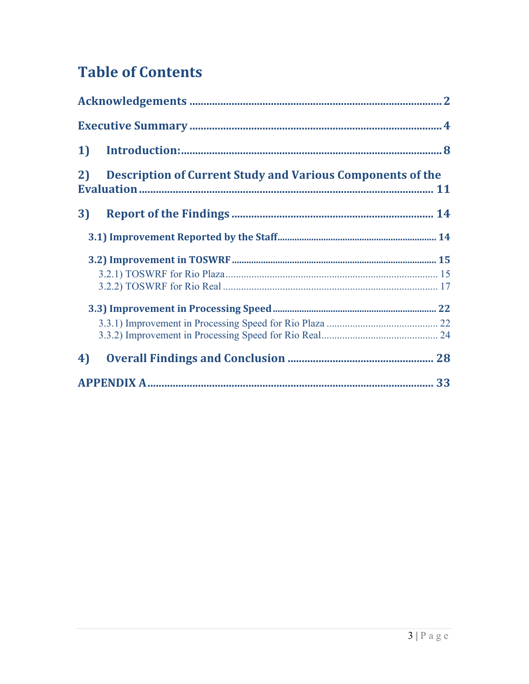# **Table of Contents**

| 1  |                                                                   |
|----|-------------------------------------------------------------------|
| 2) | <b>Description of Current Study and Various Components of the</b> |
| 3) |                                                                   |
|    |                                                                   |
|    |                                                                   |
|    |                                                                   |
|    |                                                                   |
|    |                                                                   |
|    |                                                                   |
|    |                                                                   |
| 4) |                                                                   |
|    |                                                                   |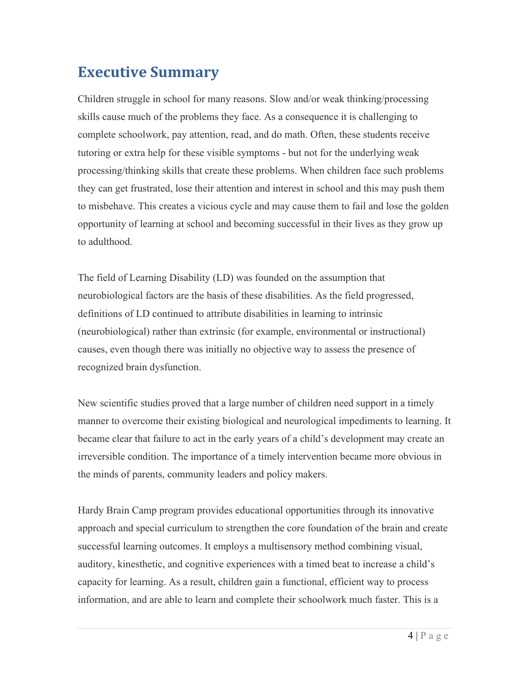## **Executive Summary**

Children struggle in school for many reasons. Slow and/or weak thinking/processing skills cause much of the problems they face. As a consequence it is challenging to complete schoolwork, pay attention, read, and do math. Often, these students receive tutoring or extra help for these visible symptoms - but not for the underlying weak processing/thinking skills that create these problems. When children face such problems they can get frustrated, lose their attention and interest in school and this may push them to misbehave. This creates a vicious cycle and may cause them to fail and lose the golden opportunity of learning at school and becoming successful in their lives as they grow up to adulthood.

The field of Learning Disability (LD) was founded on the assumption that neurobiological factors are the basis of these disabilities. As the field progressed, definitions of LD continued to attribute disabilities in learning to intrinsic (neurobiological) rather than extrinsic (for example, environmental or instructional) causes, even though there was initially no objective way to assess the presence of recognized brain dysfunction.

New scientific studies proved that a large number of children need support in a timely manner to overcome their existing biological and neurological impediments to learning. It became clear that failure to act in the early years of a child's development may create an irreversible condition. The importance of a timely intervention became more obvious in the minds of parents, community leaders and policy makers.

Hardy Brain Camp program provides educational opportunities through its innovative approach and special curriculum to strengthen the core foundation of the brain and create successful learning outcomes. It employs a multisensory method combining visual, auditory, kinesthetic, and cognitive experiences with a timed beat to increase a child's capacity for learning. As a result, children gain a functional, efficient way to process information, and are able to learn and complete their schoolwork much faster. This is a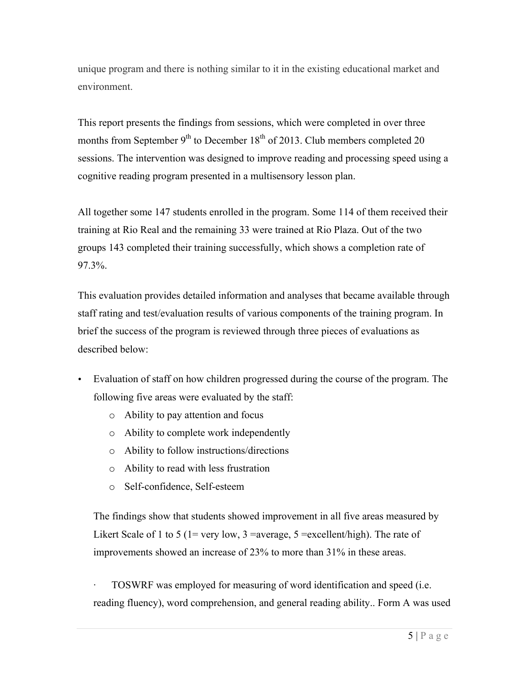unique program and there is nothing similar to it in the existing educational market and environment.

This report presents the findings from sessions, which were completed in over three months from September  $9<sup>th</sup>$  to December 18<sup>th</sup> of 2013. Club members completed 20 sessions. The intervention was designed to improve reading and processing speed using a cognitive reading program presented in a multisensory lesson plan.

All together some 147 students enrolled in the program. Some 114 of them received their training at Rio Real and the remaining 33 were trained at Rio Plaza. Out of the two groups 143 completed their training successfully, which shows a completion rate of 97.3%.

This evaluation provides detailed information and analyses that became available through staff rating and test/evaluation results of various components of the training program. In brief the success of the program is reviewed through three pieces of evaluations as described below:

- Evaluation of staff on how children progressed during the course of the program. The following five areas were evaluated by the staff:
	- o Ability to pay attention and focus
	- o Ability to complete work independently
	- o Ability to follow instructions/directions
	- o Ability to read with less frustration
	- o Self-confidence, Self-esteem

The findings show that students showed improvement in all five areas measured by Likert Scale of 1 to 5 (1= very low, 3 = average, 5 = excellent/high). The rate of improvements showed an increase of 23% to more than 31% in these areas.

· TOSWRF was employed for measuring of word identification and speed (i.e. reading fluency), word comprehension, and general reading ability.. Form A was used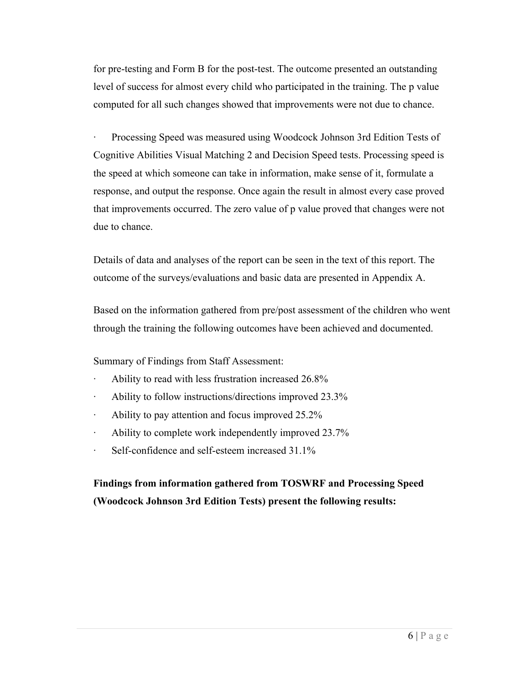for pre-testing and Form B for the post-test. The outcome presented an outstanding level of success for almost every child who participated in the training. The p value computed for all such changes showed that improvements were not due to chance.

· Processing Speed was measured using Woodcock Johnson 3rd Edition Tests of Cognitive Abilities Visual Matching 2 and Decision Speed tests. Processing speed is the speed at which someone can take in information, make sense of it, formulate a response, and output the response. Once again the result in almost every case proved that improvements occurred. The zero value of p value proved that changes were not due to chance.

Details of data and analyses of the report can be seen in the text of this report. The outcome of the surveys/evaluations and basic data are presented in Appendix A.

Based on the information gathered from pre/post assessment of the children who went through the training the following outcomes have been achieved and documented.

Summary of Findings from Staff Assessment:

- · Ability to read with less frustration increased 26.8%
- · Ability to follow instructions/directions improved 23.3%
- · Ability to pay attention and focus improved 25.2%
- · Ability to complete work independently improved 23.7%
- Self-confidence and self-esteem increased 31.1%

**Findings from information gathered from TOSWRF and Processing Speed (Woodcock Johnson 3rd Edition Tests) present the following results:**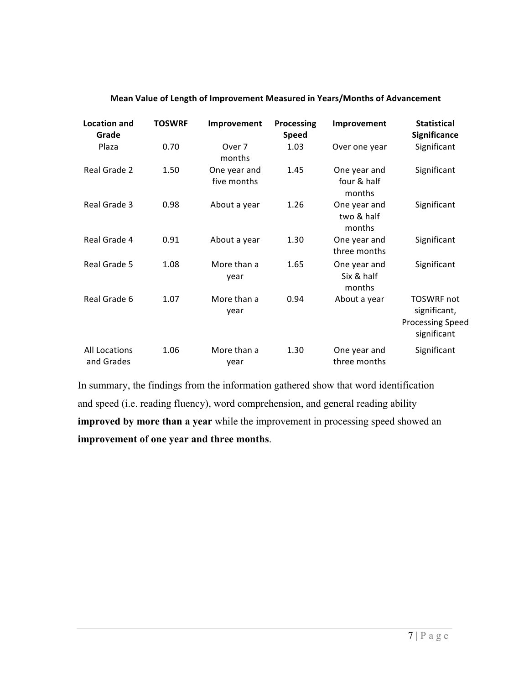| <b>Location and</b><br>Grade       | <b>TOSWRF</b> | Improvement                 | Processing<br><b>Speed</b> | Improvement                           | <b>Statistical</b><br><b>Significance</b>                                   |
|------------------------------------|---------------|-----------------------------|----------------------------|---------------------------------------|-----------------------------------------------------------------------------|
| Plaza                              | 0.70          | Over 7<br>months            | 1.03                       | Over one year                         | Significant                                                                 |
| Real Grade 2                       | 1.50          | One year and<br>five months | 1.45                       | One year and<br>four & half<br>months | Significant                                                                 |
| Real Grade 3                       | 0.98          | About a year                | 1.26                       | One year and<br>two & half<br>months  | Significant                                                                 |
| Real Grade 4                       | 0.91          | About a year                | 1.30                       | One year and<br>three months          | Significant                                                                 |
| Real Grade 5                       | 1.08          | More than a<br>year         | 1.65                       | One year and<br>Six & half<br>months  | Significant                                                                 |
| Real Grade 6                       | 1.07          | More than a<br>year         | 0.94                       | About a year                          | <b>TOSWRF</b> not<br>significant,<br><b>Processing Speed</b><br>significant |
| <b>All Locations</b><br>and Grades | 1.06          | More than a<br>year         | 1.30                       | One year and<br>three months          | Significant                                                                 |

#### **Mean Value of Length of Improvement Measured in Years/Months of Advancement**

In summary, the findings from the information gathered show that word identification and speed (i.e. reading fluency), word comprehension, and general reading ability **improved by more than a year** while the improvement in processing speed showed an **improvement of one year and three months**.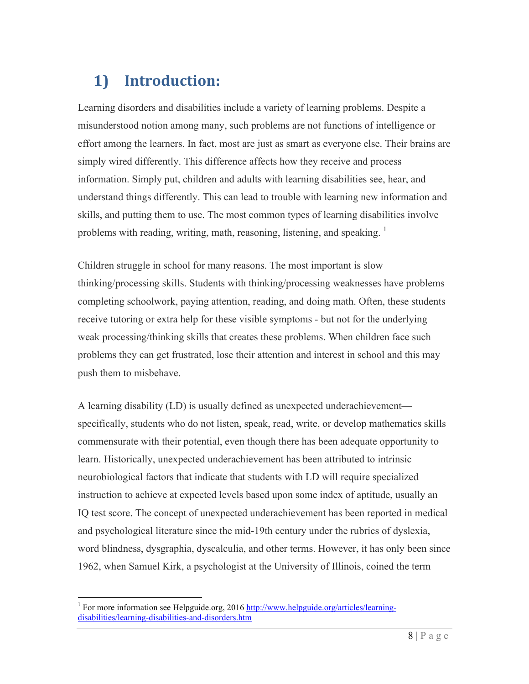# **1) Introduction:**

Learning disorders and disabilities include a variety of learning problems. Despite a misunderstood notion among many, such problems are not functions of intelligence or effort among the learners. In fact, most are just as smart as everyone else. Their brains are simply wired differently. This difference affects how they receive and process information. Simply put, children and adults with learning disabilities see, hear, and understand things differently. This can lead to trouble with learning new information and skills, and putting them to use. The most common types of learning disabilities involve problems with reading, writing, math, reasoning, listening, and speaking.<sup>1</sup>

Children struggle in school for many reasons. The most important is slow thinking/processing skills. Students with thinking/processing weaknesses have problems completing schoolwork, paying attention, reading, and doing math. Often, these students receive tutoring or extra help for these visible symptoms - but not for the underlying weak processing/thinking skills that creates these problems. When children face such problems they can get frustrated, lose their attention and interest in school and this may push them to misbehave.

A learning disability (LD) is usually defined as unexpected underachievement specifically, students who do not listen, speak, read, write, or develop mathematics skills commensurate with their potential, even though there has been adequate opportunity to learn. Historically, unexpected underachievement has been attributed to intrinsic neurobiological factors that indicate that students with LD will require specialized instruction to achieve at expected levels based upon some index of aptitude, usually an IQ test score. The concept of unexpected underachievement has been reported in medical and psychological literature since the mid-19th century under the rubrics of dyslexia, word blindness, dysgraphia, dyscalculia, and other terms. However, it has only been since 1962, when Samuel Kirk, a psychologist at the University of Illinois, coined the term

 $1$  For more information see Helpguide.org, 2016 http://www.helpguide.org/articles/learningdisabilities/learning-disabilities-and-disorders.htm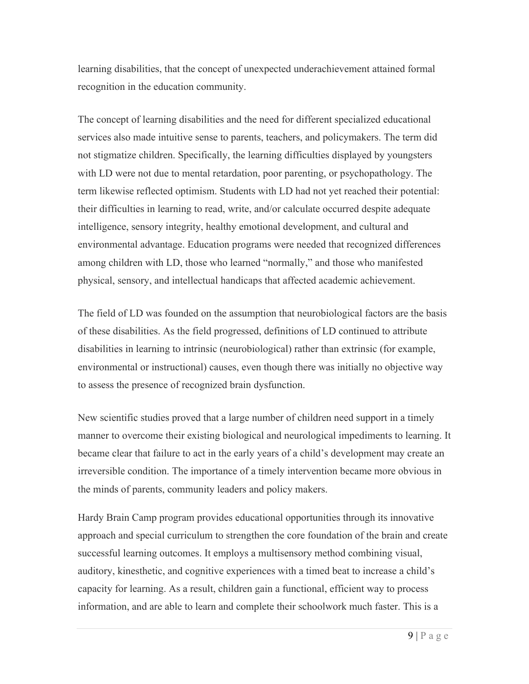learning disabilities, that the concept of unexpected underachievement attained formal recognition in the education community.

The concept of learning disabilities and the need for different specialized educational services also made intuitive sense to parents, teachers, and policymakers. The term did not stigmatize children. Specifically, the learning difficulties displayed by youngsters with LD were not due to mental retardation, poor parenting, or psychopathology. The term likewise reflected optimism. Students with LD had not yet reached their potential: their difficulties in learning to read, write, and/or calculate occurred despite adequate intelligence, sensory integrity, healthy emotional development, and cultural and environmental advantage. Education programs were needed that recognized differences among children with LD, those who learned "normally," and those who manifested physical, sensory, and intellectual handicaps that affected academic achievement.

The field of LD was founded on the assumption that neurobiological factors are the basis of these disabilities. As the field progressed, definitions of LD continued to attribute disabilities in learning to intrinsic (neurobiological) rather than extrinsic (for example, environmental or instructional) causes, even though there was initially no objective way to assess the presence of recognized brain dysfunction.

New scientific studies proved that a large number of children need support in a timely manner to overcome their existing biological and neurological impediments to learning. It became clear that failure to act in the early years of a child's development may create an irreversible condition. The importance of a timely intervention became more obvious in the minds of parents, community leaders and policy makers.

Hardy Brain Camp program provides educational opportunities through its innovative approach and special curriculum to strengthen the core foundation of the brain and create successful learning outcomes. It employs a multisensory method combining visual, auditory, kinesthetic, and cognitive experiences with a timed beat to increase a child's capacity for learning. As a result, children gain a functional, efficient way to process information, and are able to learn and complete their schoolwork much faster. This is a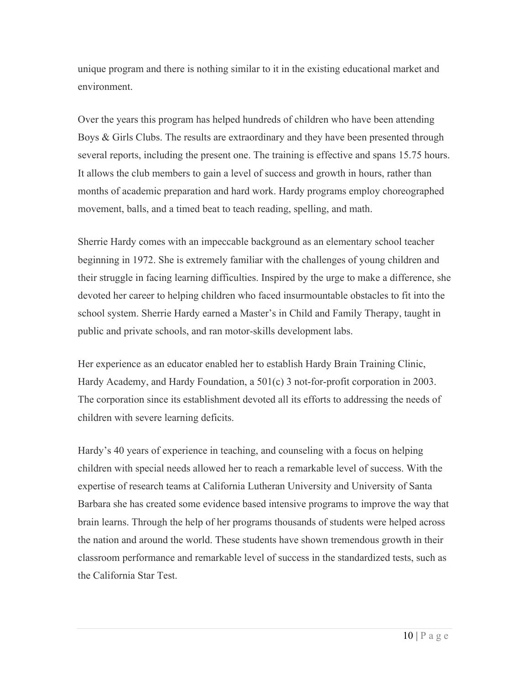unique program and there is nothing similar to it in the existing educational market and environment.

Over the years this program has helped hundreds of children who have been attending Boys & Girls Clubs. The results are extraordinary and they have been presented through several reports, including the present one. The training is effective and spans 15.75 hours. It allows the club members to gain a level of success and growth in hours, rather than months of academic preparation and hard work. Hardy programs employ choreographed movement, balls, and a timed beat to teach reading, spelling, and math.

Sherrie Hardy comes with an impeccable background as an elementary school teacher beginning in 1972. She is extremely familiar with the challenges of young children and their struggle in facing learning difficulties. Inspired by the urge to make a difference, she devoted her career to helping children who faced insurmountable obstacles to fit into the school system. Sherrie Hardy earned a Master's in Child and Family Therapy, taught in public and private schools, and ran motor-skills development labs.

Her experience as an educator enabled her to establish Hardy Brain Training Clinic, Hardy Academy, and Hardy Foundation, a 501(c) 3 not-for-profit corporation in 2003. The corporation since its establishment devoted all its efforts to addressing the needs of children with severe learning deficits.

Hardy's 40 years of experience in teaching, and counseling with a focus on helping children with special needs allowed her to reach a remarkable level of success. With the expertise of research teams at California Lutheran University and University of Santa Barbara she has created some evidence based intensive programs to improve the way that brain learns. Through the help of her programs thousands of students were helped across the nation and around the world. These students have shown tremendous growth in their classroom performance and remarkable level of success in the standardized tests, such as the California Star Test.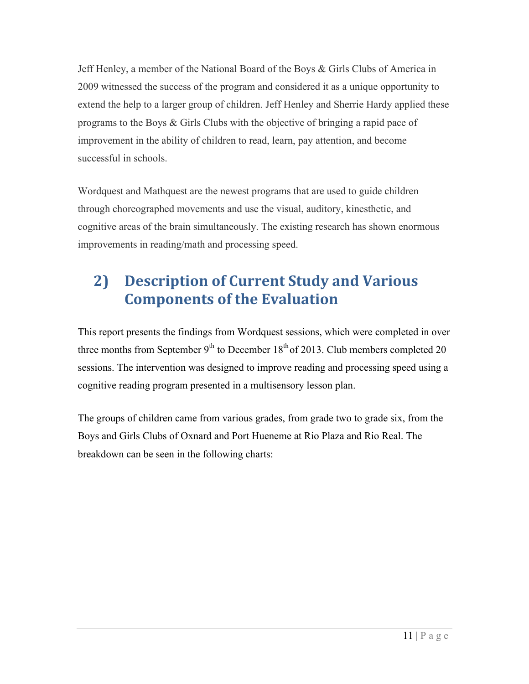Jeff Henley, a member of the National Board of the Boys & Girls Clubs of America in 2009 witnessed the success of the program and considered it as a unique opportunity to extend the help to a larger group of children. Jeff Henley and Sherrie Hardy applied these programs to the Boys & Girls Clubs with the objective of bringing a rapid pace of improvement in the ability of children to read, learn, pay attention, and become successful in schools.

Wordquest and Mathquest are the newest programs that are used to guide children through choreographed movements and use the visual, auditory, kinesthetic, and cognitive areas of the brain simultaneously. The existing research has shown enormous improvements in reading/math and processing speed.

# **2) Description of Current Study and Various Components of the Evaluation**

This report presents the findings from Wordquest sessions, which were completed in over three months from September  $9<sup>th</sup>$  to December 18<sup>th</sup> of 2013. Club members completed 20 sessions. The intervention was designed to improve reading and processing speed using a cognitive reading program presented in a multisensory lesson plan.

The groups of children came from various grades, from grade two to grade six, from the Boys and Girls Clubs of Oxnard and Port Hueneme at Rio Plaza and Rio Real. The breakdown can be seen in the following charts: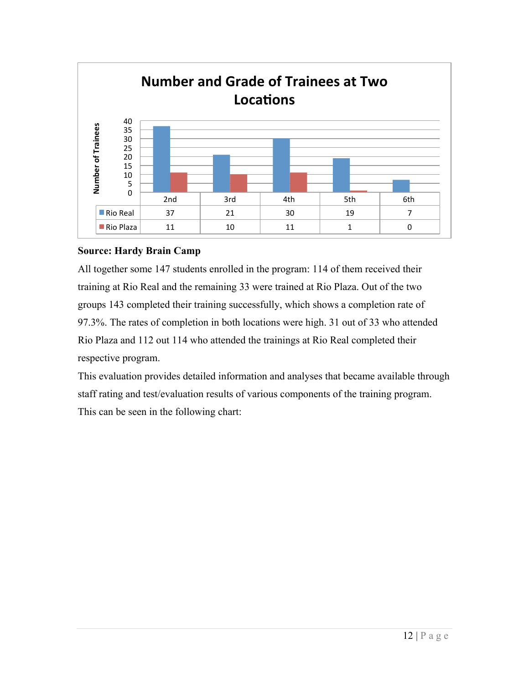

### **Source: Hardy Brain Camp**

All together some 147 students enrolled in the program: 114 of them received their training at Rio Real and the remaining 33 were trained at Rio Plaza. Out of the two groups 143 completed their training successfully, which shows a completion rate of 97.3%. The rates of completion in both locations were high. 31 out of 33 who attended Rio Plaza and 112 out 114 who attended the trainings at Rio Real completed their respective program.

This evaluation provides detailed information and analyses that became available through staff rating and test/evaluation results of various components of the training program. This can be seen in the following chart: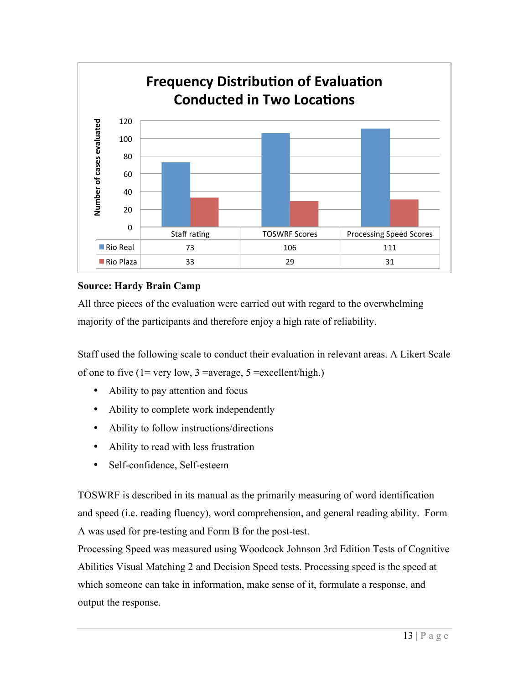

### **Source: Hardy Brain Camp**

All three pieces of the evaluation were carried out with regard to the overwhelming majority of the participants and therefore enjoy a high rate of reliability.

Staff used the following scale to conduct their evaluation in relevant areas. A Likert Scale of one to five  $(1=$  very low,  $3=$  average,  $5=$  excellent/high.)

- Ability to pay attention and focus
- Ability to complete work independently
- Ability to follow instructions/directions
- Ability to read with less frustration
- Self-confidence, Self-esteem

TOSWRF is described in its manual as the primarily measuring of word identification and speed (i.e. reading fluency), word comprehension, and general reading ability. Form A was used for pre-testing and Form B for the post-test.

Processing Speed was measured using Woodcock Johnson 3rd Edition Tests of Cognitive Abilities Visual Matching 2 and Decision Speed tests. Processing speed is the speed at which someone can take in information, make sense of it, formulate a response, and output the response.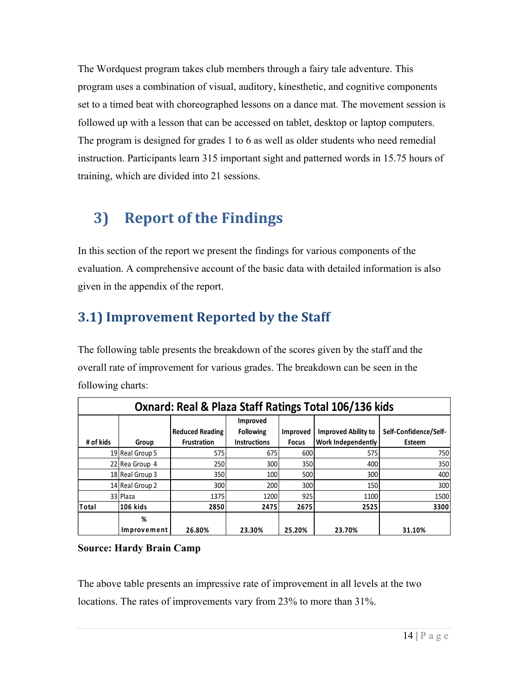The Wordquest program takes club members through a fairy tale adventure. This program uses a combination of visual, auditory, kinesthetic, and cognitive components set to a timed beat with choreographed lessons on a dance mat. The movement session is followed up with a lesson that can be accessed on tablet, desktop or laptop computers. The program is designed for grades 1 to 6 as well as older students who need remedial instruction. Participants learn 315 important sight and patterned words in 15.75 hours of training, which are divided into 21 sessions.

# **3)** Report of the Findings

In this section of the report we present the findings for various components of the evaluation. A comprehensive account of the basic data with detailed information is also given in the appendix of the report.

## **3.1) Improvement Reported by the Staff**

The following table presents the breakdown of the scores given by the staff and the overall rate of improvement for various grades. The breakdown can be seen in the following charts:

| Oxnard: Real & Plaza Staff Ratings Total 106/136 kids |                  |                                              |                                                            |                          |                                                  |                                 |  |  |  |  |
|-------------------------------------------------------|------------------|----------------------------------------------|------------------------------------------------------------|--------------------------|--------------------------------------------------|---------------------------------|--|--|--|--|
| # of kids                                             | Group            | <b>Reduced Reading</b><br><b>Frustration</b> | <b>Improved</b><br><b>Following</b><br><b>Instructions</b> | Improved<br><b>Focus</b> | <b>Improved Ability to</b><br>Work Independently | Self-Confidence/Self-<br>Esteem |  |  |  |  |
|                                                       | 19 Real Group 5  | 575                                          | 675                                                        | 600                      | 575                                              | 750                             |  |  |  |  |
|                                                       | 22 Rea Group 4   | 250                                          | 300                                                        | 350                      | 400                                              | 350                             |  |  |  |  |
|                                                       | 18 Real Group 3  | 350                                          | 100                                                        | 500                      | 300                                              | 400                             |  |  |  |  |
|                                                       | 14 Real Group 2  | 300                                          | 200                                                        | 300                      | 150                                              | 300                             |  |  |  |  |
|                                                       | 33 Plaza         | 1375                                         | 1200                                                       | 925                      | 1100                                             | 1500                            |  |  |  |  |
| Total                                                 | <b>106 kids</b>  | 2850                                         | 2475                                                       | 2675                     | 2525                                             | 3300                            |  |  |  |  |
|                                                       | %<br>Improvement | 26.80%                                       | 23.30%                                                     | 25.20%                   | 23.70%                                           | 31.10%                          |  |  |  |  |

### **Source: Hardy Brain Camp**

The above table presents an impressive rate of improvement in all levels at the two locations. The rates of improvements vary from 23% to more than 31%.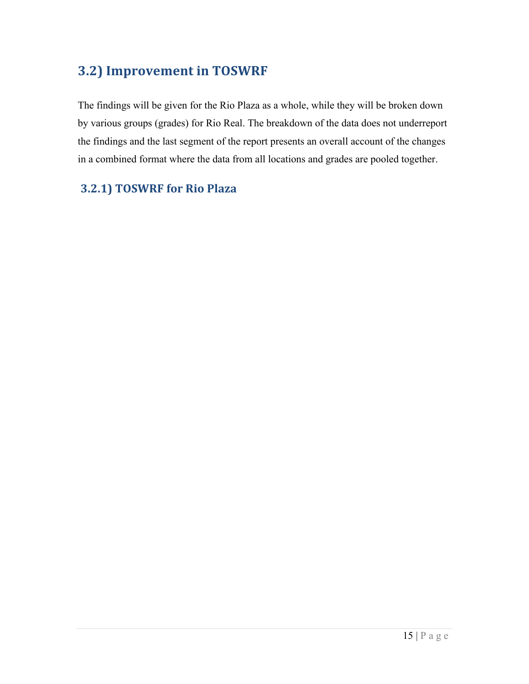## **3.2) Improvement in TOSWRF**

The findings will be given for the Rio Plaza as a whole, while they will be broken down by various groups (grades) for Rio Real. The breakdown of the data does not underreport the findings and the last segment of the report presents an overall account of the changes in a combined format where the data from all locations and grades are pooled together.

### **3.2.1) TOSWRF for Rio Plaza**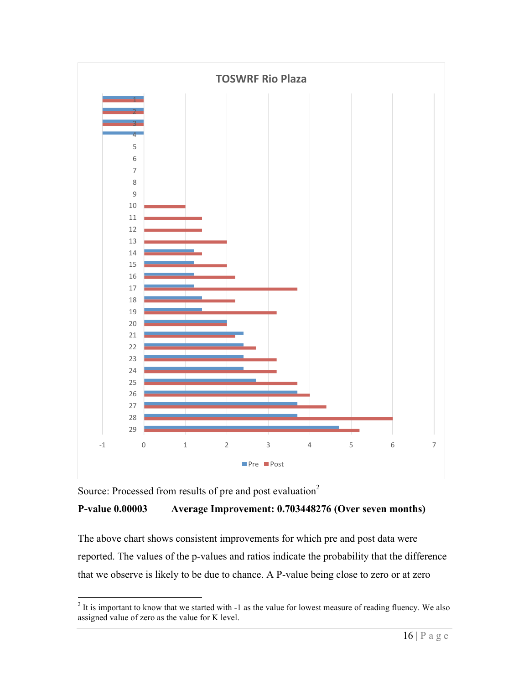

Source: Processed from results of pre and post evaluation<sup>2</sup>

### **P-value 0.00003 Average Improvement: 0.703448276 (Over seven months)**

The above chart shows consistent improvements for which pre and post data were reported. The values of the p-values and ratios indicate the probability that the difference that we observe is likely to be due to chance. A P-value being close to zero or at zero

<sup>&</sup>lt;sup>2</sup> It is important to know that we started with -1 as the value for lowest measure of reading fluency. We also assigned value of zero as the value for K level.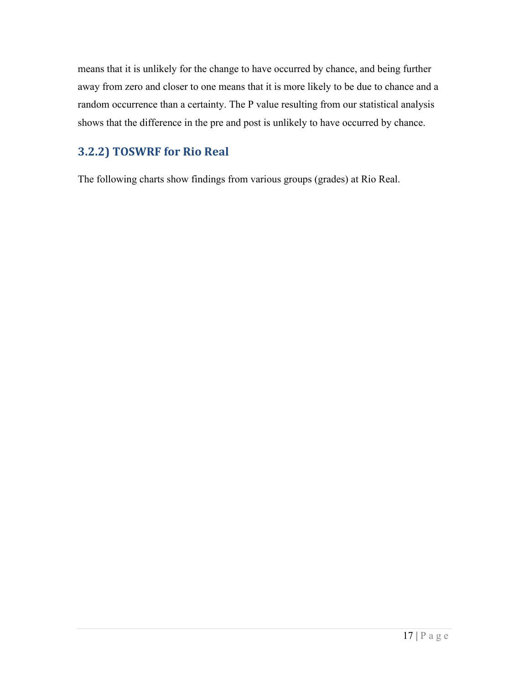means that it is unlikely for the change to have occurred by chance, and being further away from zero and closer to one means that it is more likely to be due to chance and a random occurrence than a certainty. The P value resulting from our statistical analysis shows that the difference in the pre and post is unlikely to have occurred by chance.

## **3.2.2) TOSWRF for Rio Real**

The following charts show findings from various groups (grades) at Rio Real.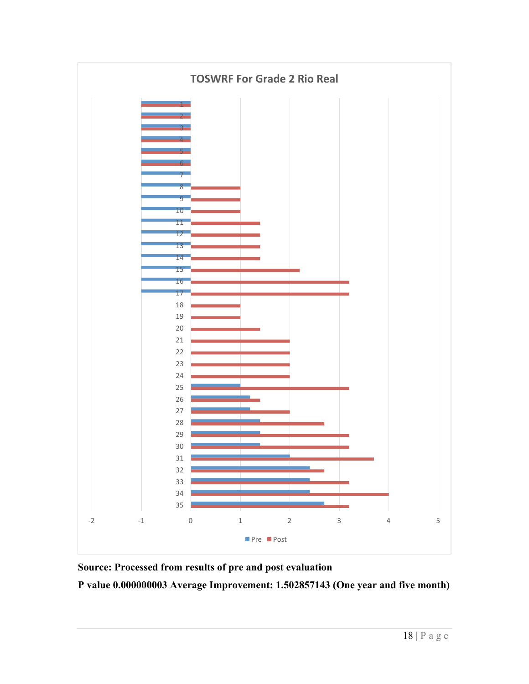

**Source: Processed from results of pre and post evaluation** 

**P value 0.000000003 Average Improvement: 1.502857143 (One year and five month)**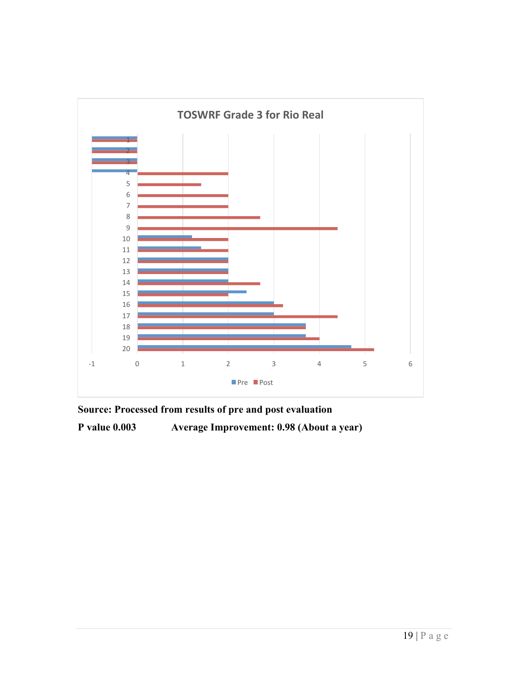

**Source: Processed from results of pre and post evaluation** 

**P value 0.003 Average Improvement: 0.98 (About a year)**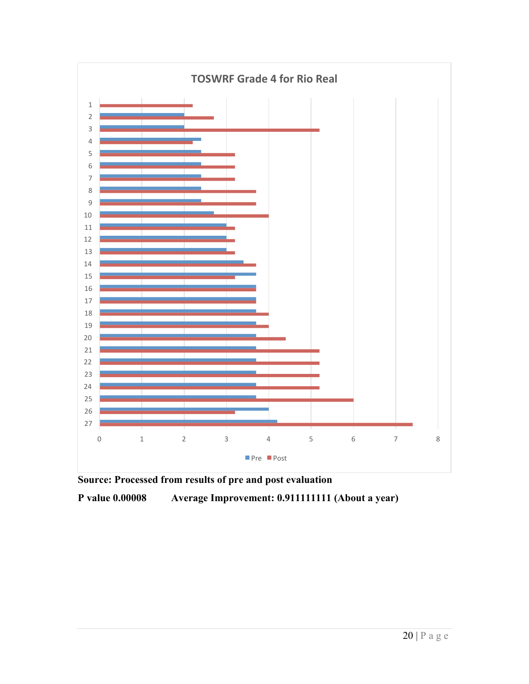

**Source: Processed from results of pre and post evaluation** 

**P value 0.00008 Average Improvement: 0.911111111 (About a year)**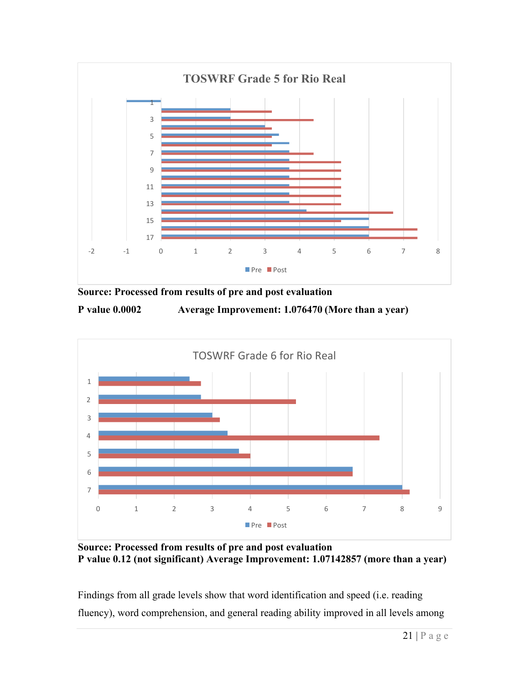



**P value 0.0002 Average Improvement: 1.076470 (More than a year)**



**Source: Processed from results of pre and post evaluation P value 0.12 (not significant) Average Improvement: 1.07142857 (more than a year)**

Findings from all grade levels show that word identification and speed (i.e. reading fluency), word comprehension, and general reading ability improved in all levels among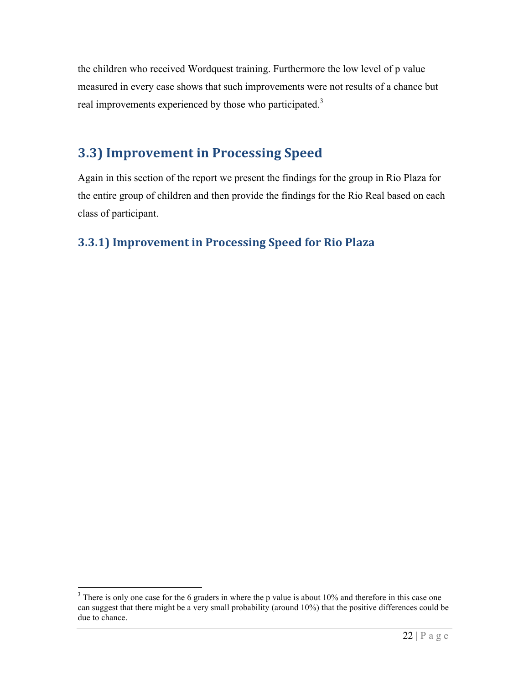the children who received Wordquest training. Furthermore the low level of p value measured in every case shows that such improvements were not results of a chance but real improvements experienced by those who participated.<sup>3</sup>

## **3.3) Improvement in Processing Speed**

Again in this section of the report we present the findings for the group in Rio Plaza for the entire group of children and then provide the findings for the Rio Real based on each class of participant.

### **3.3.1)** Improvement in Processing Speed for Rio Plaza

<sup>&</sup>lt;sup>3</sup> There is only one case for the 6 graders in where the p value is about 10% and therefore in this case one can suggest that there might be a very small probability (around 10%) that the positive differences could be due to chance.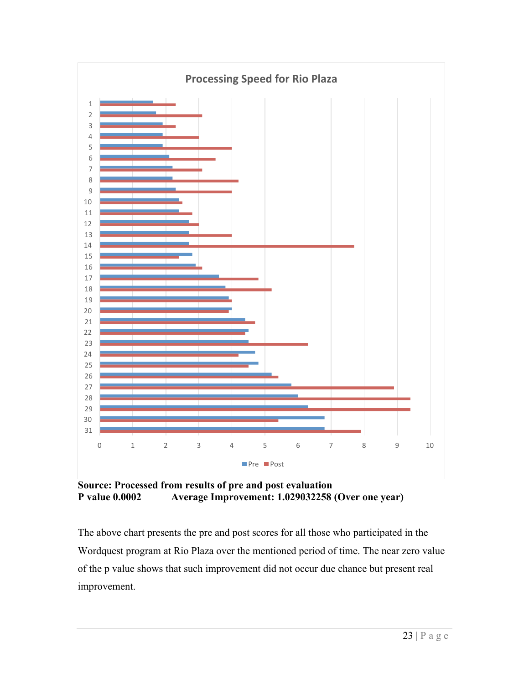

**Source: Processed from results of pre and post evaluation P value 0.0002 Average Improvement: 1.029032258 (Over one year)**

The above chart presents the pre and post scores for all those who participated in the Wordquest program at Rio Plaza over the mentioned period of time. The near zero value of the p value shows that such improvement did not occur due chance but present real improvement.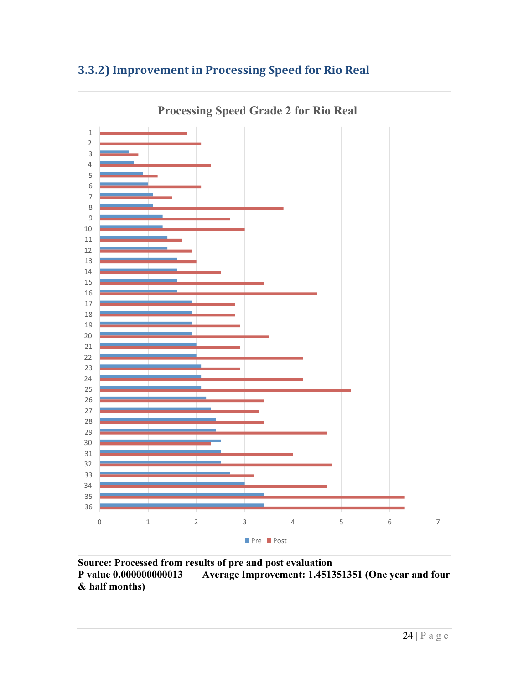

## **3.3.2)** Improvement in Processing Speed for Rio Real

**Source: Processed from results of pre and post evaluation Average Improvement: 1.451351351 (One year and four & half months)**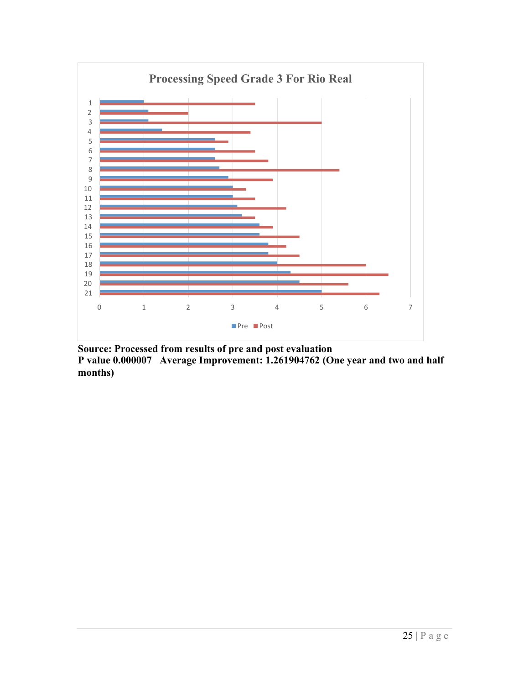

**Source: Processed from results of pre and post evaluation P value 0.000007 Average Improvement: 1.261904762 (One year and two and half months)**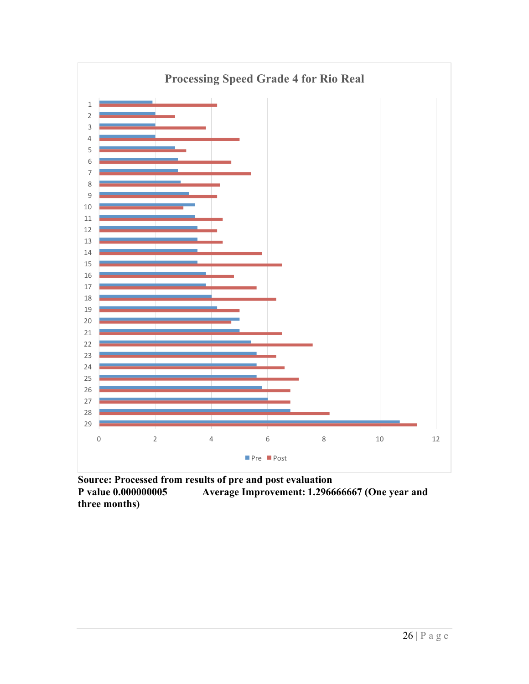

**Source: Processed from results of pre and post evaluation P value 0.000000005 Average Improvement: 1.296666667 (One year and three months)**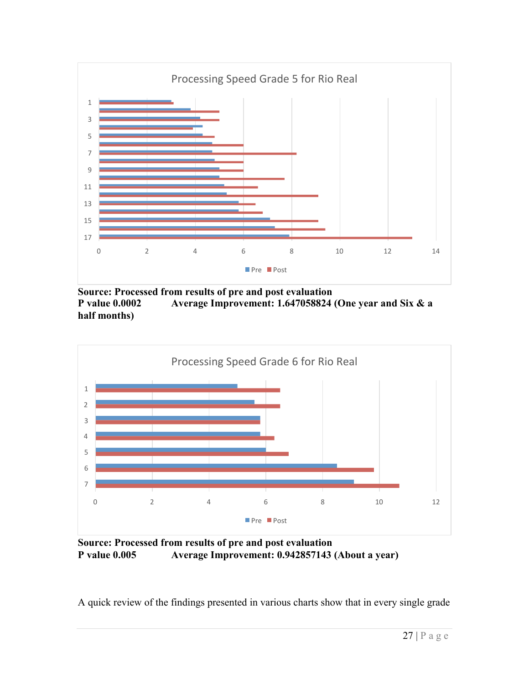

**Source: Processed from results of pre and post evaluation P value 0.0002 Average Improvement: 1.647058824 (One year and Six & a half months)**



**Source: Processed from results of pre and post evaluation P value 0.005 Average Improvement: 0.942857143 (About a year)**

A quick review of the findings presented in various charts show that in every single grade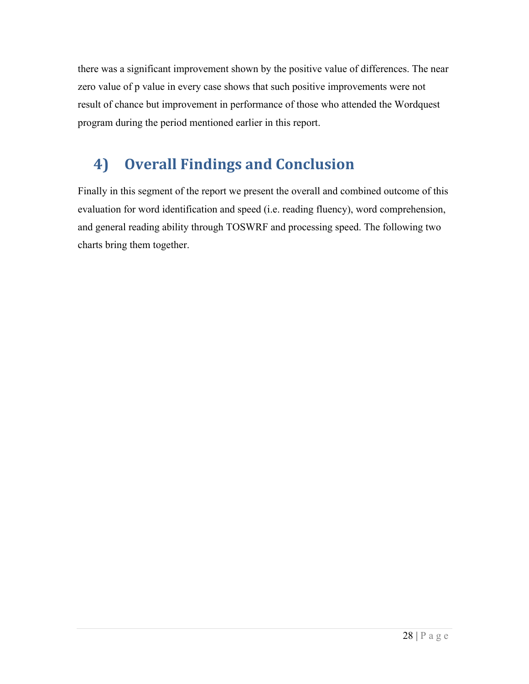there was a significant improvement shown by the positive value of differences. The near zero value of p value in every case shows that such positive improvements were not result of chance but improvement in performance of those who attended the Wordquest program during the period mentioned earlier in this report.

# **4) Overall Findings and Conclusion**

Finally in this segment of the report we present the overall and combined outcome of this evaluation for word identification and speed (i.e. reading fluency), word comprehension, and general reading ability through TOSWRF and processing speed. The following two charts bring them together.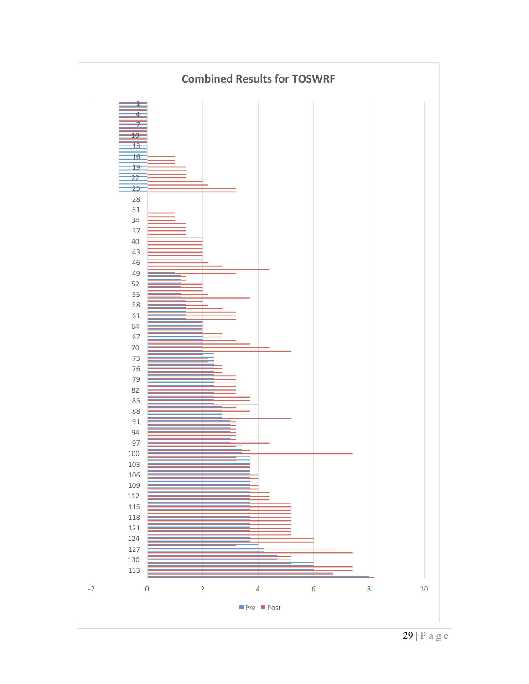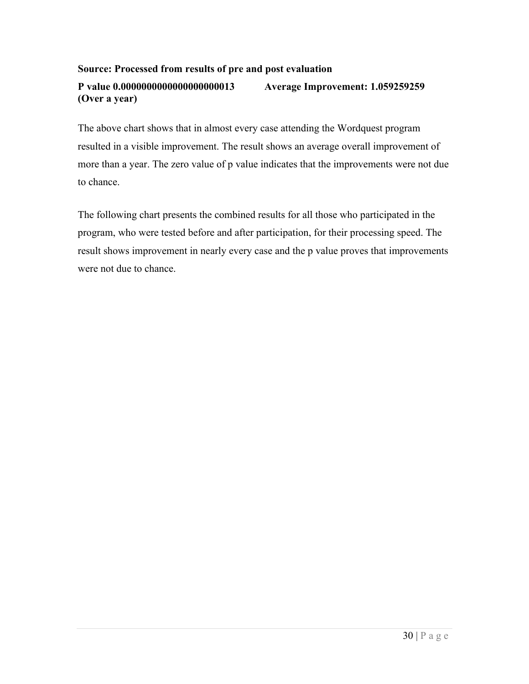#### **Source: Processed from results of pre and post evaluation**

### **P value 0.0000000000000000000013 Average Improvement: 1.059259259 (Over a year)**

The above chart shows that in almost every case attending the Wordquest program resulted in a visible improvement. The result shows an average overall improvement of more than a year. The zero value of p value indicates that the improvements were not due to chance.

The following chart presents the combined results for all those who participated in the program, who were tested before and after participation, for their processing speed. The result shows improvement in nearly every case and the p value proves that improvements were not due to chance.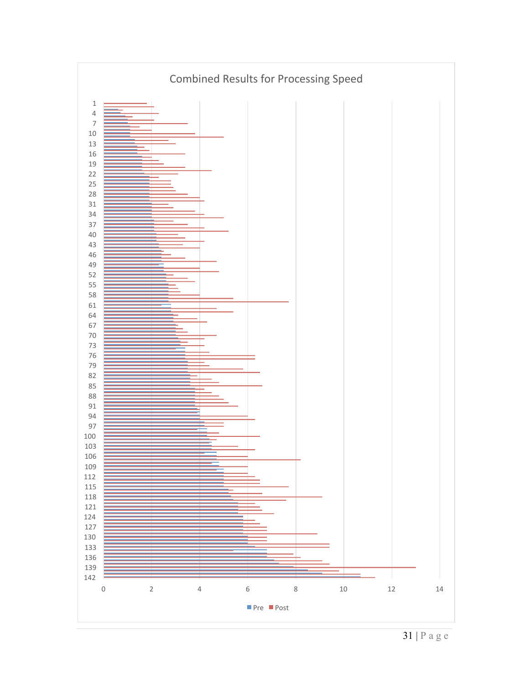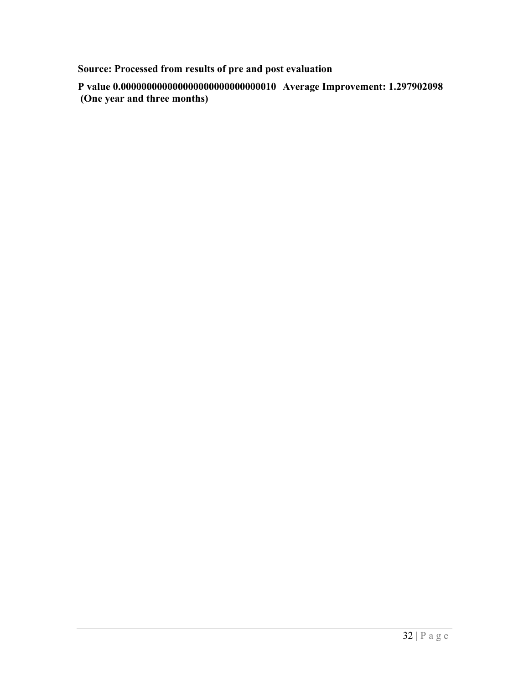**Source: Processed from results of pre and post evaluation** 

**P value 0.000000000000000000000000000010 Average Improvement: 1.297902098 (One year and three months)**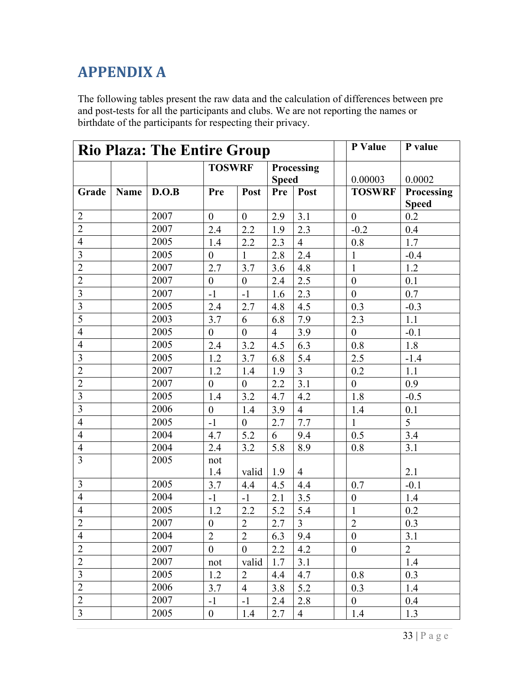## **APPENDIX A**

The following tables present the raw data and the calculation of differences between pre and post-tests for all the participants and clubs. We are not reporting the names or birthdate of the participants for respecting their privacy.

|                         |             | <b>Rio Plaza: The Entire Group</b> |                  | P Value                     | P value        |                |  |                  |                            |
|-------------------------|-------------|------------------------------------|------------------|-----------------------------|----------------|----------------|--|------------------|----------------------------|
|                         |             |                                    |                  | <b>TOSWRF</b><br>Processing |                |                |  |                  |                            |
|                         |             |                                    |                  |                             |                | <b>Speed</b>   |  | 0.00003          | 0.0002                     |
| Grade                   | <b>Name</b> | D.O.B                              | Pre              | Post                        | Pre            | Post           |  | <b>TOSWRF</b>    | Processing<br><b>Speed</b> |
| $\overline{2}$          |             | 2007                               | $\boldsymbol{0}$ | $\boldsymbol{0}$            | 2.9            | 3.1            |  | $\mathbf{0}$     | 0.2                        |
| $\overline{2}$          |             | 2007                               | 2.4              | 2.2                         | 1.9            | 2.3            |  | $-0.2$           | 0.4                        |
| $\overline{4}$          |             | 2005                               | 1.4              | 2.2                         | 2.3            | $\overline{4}$ |  | 0.8              | 1.7                        |
| $\overline{3}$          |             | 2005                               | $\boldsymbol{0}$ | $\mathbf{1}$                | 2.8            | 2.4            |  | $\mathbf{1}$     | $-0.4$                     |
| $\overline{2}$          |             | 2007                               | 2.7              | 3.7                         | 3.6            | 4.8            |  | $\mathbf{1}$     | 1.2                        |
| $\overline{2}$          |             | 2007                               | $\overline{0}$   | $\boldsymbol{0}$            | 2.4            | 2.5            |  | $\boldsymbol{0}$ | 0.1                        |
| $\overline{\mathbf{3}}$ |             | 2007                               | $-1$             | $-1$                        | 1.6            | 2.3            |  | $\boldsymbol{0}$ | 0.7                        |
| $\overline{3}$          |             | 2005                               | 2.4              | 2.7                         | 4.8            | 4.5            |  | 0.3              | $-0.3$                     |
| $\overline{5}$          |             | 2003                               | 3.7              | 6                           | 6.8            | 7.9            |  | 2.3              | 1.1                        |
| $\overline{4}$          |             | 2005                               | $\boldsymbol{0}$ | $\boldsymbol{0}$            | $\overline{4}$ | 3.9            |  | $\boldsymbol{0}$ | $-0.1$                     |
| $\overline{4}$          |             | 2005                               | 2.4              | 3.2                         | 4.5            | 6.3            |  | 0.8              | 1.8                        |
| $\overline{\mathbf{3}}$ |             | 2005                               | 1.2              | 3.7                         | 6.8            | 5.4            |  | 2.5              | $-1.4$                     |
| $\overline{2}$          |             | 2007                               | 1.2              | 1.4                         | 1.9            | $\overline{3}$ |  | 0.2              | 1.1                        |
| $\overline{2}$          |             | 2007                               | $\boldsymbol{0}$ | $\boldsymbol{0}$            | 2.2            | 3.1            |  | $\boldsymbol{0}$ | 0.9                        |
| $\overline{3}$          |             | 2005                               | 1.4              | 3.2                         | 4.7            | 4.2            |  | 1.8              | $-0.5$                     |
| $\overline{3}$          |             | 2006                               | $\boldsymbol{0}$ | 1.4                         | 3.9            | $\overline{4}$ |  | 1.4              | 0.1                        |
| $\overline{4}$          |             | 2005                               | $-1$             | $\boldsymbol{0}$            | 2.7            | 7.7            |  | $\mathbf{1}$     | 5                          |
| $\overline{4}$          |             | 2004                               | 4.7              | 5.2                         | 6              | 9.4            |  | 0.5              | 3.4                        |
| $\overline{4}$          |             | 2004                               | 2.4              | 3.2                         | 5.8            | 8.9            |  | 0.8              | 3.1                        |
| $\overline{3}$          |             | 2005                               | not              |                             |                |                |  |                  |                            |
|                         |             |                                    | 1.4              | valid                       | 1.9            | $\overline{4}$ |  |                  | 2.1                        |
| $\overline{3}$          |             | 2005                               | 3.7              | 4.4                         | 4.5            | 4.4            |  | 0.7              | $-0.1$                     |
| $\overline{4}$          |             | 2004                               | $-1$             | $-1$                        | 2.1            | 3.5            |  | $\boldsymbol{0}$ | 1.4                        |
| $\overline{4}$          |             | 2005                               | 1.2              | 2.2                         | 5.2            | 5.4            |  | $\mathbf{1}$     | 0.2                        |
| $\overline{2}$          |             | 2007                               | $\boldsymbol{0}$ | $\overline{2}$              | 2.7            | $\overline{3}$ |  | $\overline{2}$   | 0.3                        |
| $\overline{4}$          |             | 2004                               | $\overline{2}$   | $\overline{2}$              | 6.3            | 9.4            |  | $\mathbf{0}$     | 3.1                        |
| $\overline{2}$          |             | 2007                               | $\boldsymbol{0}$ | $\boldsymbol{0}$            | 2.2            | 4.2            |  | $\boldsymbol{0}$ | $\overline{2}$             |
| $\overline{2}$          |             | 2007                               | not              | valid                       | 1.7            | 3.1            |  |                  | 1.4                        |
| $\overline{3}$          |             | 2005                               | 1.2              | $\overline{2}$              | 4.4            | 4.7            |  | 0.8              | 0.3                        |
| $\overline{2}$          |             | 2006                               | 3.7              | $\overline{4}$              | 3.8            | 5.2            |  | 0.3              | 1.4                        |
| $\overline{2}$          |             | 2007                               | $-1$             | $-1$                        | 2.4            | 2.8            |  | $\mathbf{0}$     | 0.4                        |
| $\overline{3}$          |             | 2005                               | $\mathbf{0}$     | 1.4                         | 2.7            | $\overline{4}$ |  | 1.4              | 1.3                        |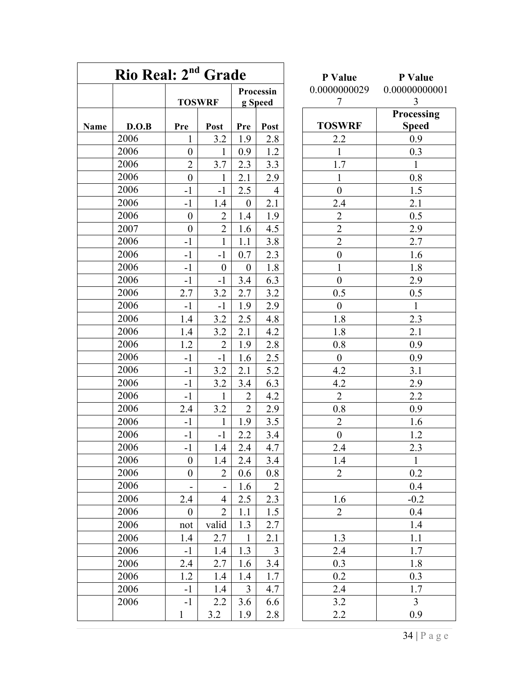|      |       | Rio Real: 2 <sup>nd</sup> Grade |                  |                  |                |  | P Value          | P Value        |  |
|------|-------|---------------------------------|------------------|------------------|----------------|--|------------------|----------------|--|
|      |       |                                 |                  |                  | Processin      |  | 0.0000000029     | 0.00000000     |  |
|      |       |                                 | <b>TOSWRF</b>    |                  | g Speed        |  | $\overline{7}$   | 3<br>Processin |  |
| Name | D.O.B | Pre                             | Post             | Pre              | Post           |  | <b>TOSWRF</b>    | <b>Speed</b>   |  |
|      | 2006  | $\mathbf{1}$                    | 3.2              | 1.9              | 2.8            |  | 2.2              | 0.9            |  |
|      | 2006  | $\boldsymbol{0}$                | 1                | 0.9              | 1.2            |  | $\mathbf{1}$     | 0.3            |  |
|      | 2006  | $\overline{2}$                  | 3.7              | 2.3              | 3.3            |  | 1.7              | $\mathbf{1}$   |  |
|      | 2006  | $\boldsymbol{0}$                | $\mathbf{1}$     | 2.1              | 2.9            |  | $\mathbf{1}$     | 0.8            |  |
|      | 2006  | $-1$                            | $-1$             | 2.5              | $\overline{4}$ |  | $\boldsymbol{0}$ | 1.5            |  |
|      | 2006  | $-1$                            | 1.4              | $\boldsymbol{0}$ | 2.1            |  | 2.4              | 2.1            |  |
|      | 2006  | $\boldsymbol{0}$                | $\overline{2}$   | 1.4              | 1.9            |  | $\overline{2}$   | 0.5            |  |
|      | 2007  | $\boldsymbol{0}$                | $\overline{2}$   | 1.6              | 4.5            |  | $\overline{2}$   | 2.9            |  |
|      | 2006  | $-1$                            | $\mathbf{1}$     | 1.1              | 3.8            |  | $\overline{2}$   | 2.7            |  |
|      | 2006  | $-1$                            | $-1$             | 0.7              | 2.3            |  | $\boldsymbol{0}$ | 1.6            |  |
|      | 2006  | $-1$                            | $\boldsymbol{0}$ | $\mathbf{0}$     | 1.8            |  | 1                | 1.8            |  |
|      | 2006  | $-1$                            | $-1$             | 3.4              | 6.3            |  | $\boldsymbol{0}$ | 2.9            |  |
|      | 2006  | 2.7                             | 3.2              | 2.7              | 3.2            |  | 0.5              | 0.5            |  |
|      | 2006  | $-1$                            | $-1$             | 1.9              | 2.9            |  | $\boldsymbol{0}$ | $\overline{1}$ |  |
|      | 2006  | 1.4                             | 3.2              | 2.5              | 4.8            |  | 1.8              | 2.3            |  |
|      | 2006  | 1.4                             | 3.2              | 2.1              | 4.2            |  | 1.8              | 2.1            |  |
|      | 2006  | 1.2                             | $\overline{2}$   | 1.9              | 2.8            |  | 0.8              | 0.9            |  |
|      | 2006  | $-1$                            | $-1$             | 1.6              | 2.5            |  | $\boldsymbol{0}$ | 0.9            |  |
|      | 2006  | $-1$                            | 3.2              | 2.1              | 5.2            |  | 4.2              | 3.1            |  |
|      | 2006  | $-1$                            | 3.2              | 3.4              | 6.3            |  | 4.2              | 2.9            |  |
|      | 2006  | $-1$                            | $\mathbf{1}$     | $\overline{2}$   | 4.2            |  | $\overline{2}$   | 2.2            |  |
|      | 2006  | 2.4                             | 3.2              | $\overline{2}$   | 2.9            |  | 0.8              | 0.9            |  |
|      | 2006  | $-1$                            | $\mathbf{1}$     | 1.9              | 3.5            |  | $\overline{2}$   | 1.6            |  |
|      | 2006  | $-1$                            | $-1$             | 2.2              | $3.4$          |  | $\boldsymbol{0}$ | 1.2            |  |
|      | 2006  | $-1$                            | 1.4              | 2.4              | 4.7            |  | 2.4              | 2.3            |  |
|      | 2006  | $\theta$                        | 1.4              | 2.4              | 3.4            |  | 1.4              | $\mathbf{1}$   |  |
|      | 2006  | $\boldsymbol{0}$                | $\overline{2}$   | 0.6              | 0.8            |  | $\overline{2}$   | 0.2            |  |
|      | 2006  |                                 |                  | 1.6              | $\overline{2}$ |  |                  | 0.4            |  |
|      | 2006  | 2.4                             | $\overline{4}$   | 2.5              | 2.3            |  | 1.6              | $-0.2$         |  |
|      | 2006  | $\boldsymbol{0}$                | $\overline{2}$   | 1.1              | 1.5            |  | $\overline{2}$   | 0.4            |  |
|      | 2006  | not                             | valid            | 1.3              | 2.7            |  |                  | 1.4            |  |
|      | 2006  | 1.4                             | 2.7              | $\mathbf{1}$     | 2.1            |  | 1.3              | 1.1            |  |
|      | 2006  | $-1$                            | 1.4              | 1.3              | $\overline{3}$ |  | 2.4              | 1.7            |  |
|      | 2006  | 2.4                             | 2.7              | 1.6              | 3.4            |  | 0.3              | 1.8            |  |
|      | 2006  | 1.2                             | 1.4              | 1.4              | 1.7            |  | 0.2              | 0.3            |  |
|      | 2006  | $-1$                            | 1.4              | $\overline{3}$   | 4.7            |  | 2.4              | 1.7            |  |
|      | 2006  | $-1$                            | 2.2              | 3.6              | 6.6            |  | 3.2              | $\overline{3}$ |  |
|      |       | 1                               | 3.2              | 1.9              | 2.8            |  | 2.2              | 0.9            |  |

| P Value                                   | P Value                  |
|-------------------------------------------|--------------------------|
| 0.0000000029                              | 0.00000000001            |
| $\overline{7}$                            | 3                        |
|                                           | Processing               |
| <b>TOSWRF</b>                             | <b>Speed</b>             |
| 2.2                                       | 0.9                      |
| $\overline{1}$                            | 0.3                      |
| 1.7                                       | $\mathbf{1}$             |
| $\mathbf{1}$                              | 0.8                      |
| $\overline{0}$                            | $\overline{1.5}$         |
| 2.4                                       | 2.1                      |
|                                           | $\frac{0.5}{2.9}$        |
|                                           |                          |
|                                           | 2.7                      |
|                                           |                          |
| $\frac{2}{2}$ $\frac{2}{0}$ $\frac{0}{1}$ |                          |
| $\overline{0}$                            | $\frac{1.6}{1.8}$<br>2.9 |
| $\overline{0.5}$                          | $\overline{0.5}$         |
| $\overline{0}$                            | $\overline{1}$           |
| 1.8                                       | $\overline{2.3}$         |
| 1.8                                       | 2.1                      |
| 0.8                                       | 0.9                      |
| $\overline{0}$                            | 0.9                      |
| $\overline{4.2}$                          | 3.1                      |
| 4.2                                       | $\frac{2.9}{2.9}$        |
| $\overline{2}$                            | $\frac{2.2}{2.2}$        |
| $\overline{0.8}$                          | 0.9                      |
| $\overline{2}$                            | 1.6                      |
| $\overline{0}$                            | 1.2                      |
| 2.4                                       | 2.3                      |
| 1.4                                       | $\mathbf 1$              |
| $\overline{c}$                            | 0.2                      |
|                                           | 0.4                      |
| 1.6                                       | $-0.2$                   |
| $\overline{2}$                            | 0.4                      |
|                                           | 1.4                      |
| 1.3                                       | 1.1                      |
| $\frac{2.4}{2.4}$                         | 1.7                      |
| 0.3                                       | 1.8                      |
| 0.2                                       | 0.3                      |
| 2.4                                       | 1.7                      |
| 3.2                                       | $\overline{\mathbf{3}}$  |
| 2.2                                       | 0.9                      |
|                                           |                          |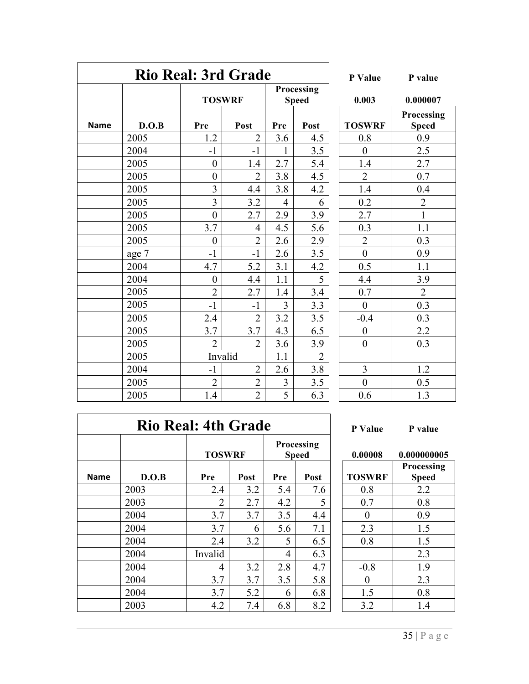|             | <b>Rio Real: 3rd Grade</b> | P Value          | P value                    |       |                |                  |                           |
|-------------|----------------------------|------------------|----------------------------|-------|----------------|------------------|---------------------------|
|             |                            | <b>TOSWRF</b>    | Processing<br><b>Speed</b> | 0.003 | 0.00000'       |                  |                           |
| <b>Name</b> | D.O.B                      | Pre              | Post                       | Pre   | Post           | <b>TOSWRF</b>    | Processir<br><b>Speed</b> |
|             | 2005                       | 1.2              | $\overline{2}$             | 3.6   | 4.5            | 0.8              | 0.9                       |
|             | 2004                       | $-1$             | $-1$                       | 1     | 3.5            | $\boldsymbol{0}$ | 2.5                       |
|             | 2005                       | $\boldsymbol{0}$ | 1.4                        | 2.7   | 5.4            | 1.4              | 2.7                       |
|             | 2005                       | $\boldsymbol{0}$ | $\overline{2}$             | 3.8   | 4.5            | $\overline{2}$   | 0.7                       |
|             | 2005                       | 3                | 4.4                        | 3.8   | 4.2            | 1.4              | 0.4                       |
|             | 2005                       | 3                | 3.2                        | 4     | 6              | 0.2              | $\overline{2}$            |
|             | 2005                       | $\mathbf{0}$     | 2.7                        | 2.9   | 3.9            | 2.7              | $\mathbf{1}$              |
|             | 2005                       | 3.7              | $\overline{4}$             | 4.5   | 5.6            | 0.3              | 1.1                       |
|             | 2005                       | $\boldsymbol{0}$ | $\overline{2}$             | 2.6   | 2.9            | $\overline{2}$   | 0.3                       |
|             | age 7                      | $-1$             | $-1$                       | 2.6   | 3.5            | $\overline{0}$   | 0.9                       |
|             | 2004                       | 4.7              | 5.2                        | 3.1   | 4.2            | 0.5              | 1.1                       |
|             | 2004                       | $\boldsymbol{0}$ | 4.4                        | 1.1   | 5              | 4.4              | 3.9                       |
|             | 2005                       | $\overline{2}$   | 2.7                        | 1.4   | 3.4            | 0.7              | $\overline{2}$            |
|             | 2005                       | $-1$             | $-1$                       | 3     | 3.3            | $\boldsymbol{0}$ | 0.3                       |
|             | 2005                       | 2.4              | $\overline{2}$             | 3.2   | 3.5            | $-0.4$           | 0.3                       |
|             | 2005                       | 3.7              | 3.7                        | 4.3   | 6.5            | $\boldsymbol{0}$ | 2.2                       |
|             | 2005                       | $\overline{2}$   | $\overline{2}$             | 3.6   | 3.9            | $\boldsymbol{0}$ | 0.3                       |
|             | 2005                       |                  | Invalid                    | 1.1   | $\overline{2}$ |                  |                           |
|             | 2004                       | $-1$             | $\overline{2}$             | 2.6   | 3.8            | 3                | 1.2                       |
|             | 2005                       | $\overline{2}$   | $\overline{2}$             | 3     | $3.5$          | $\boldsymbol{0}$ | 0.5                       |
|             | 2005                       | 1.4              | $\overline{2}$             | 5     | 6.3            | 0.6              | 1.3                       |

|                                                                                                                                                                                                                                                 |                                                                                                       | P Value           | P value                              |  |  |  |
|-------------------------------------------------------------------------------------------------------------------------------------------------------------------------------------------------------------------------------------------------|-------------------------------------------------------------------------------------------------------|-------------------|--------------------------------------|--|--|--|
|                                                                                                                                                                                                                                                 | ocessing<br>Speed                                                                                     | 0.003             | 0.000007                             |  |  |  |
|                                                                                                                                                                                                                                                 | Post                                                                                                  | <b>TOSWRF</b>     | Processing<br><b>Speed</b>           |  |  |  |
|                                                                                                                                                                                                                                                 | 4.5                                                                                                   | 0.8               | 0.9                                  |  |  |  |
|                                                                                                                                                                                                                                                 | 3.5                                                                                                   | $\boldsymbol{0}$  | 2.5                                  |  |  |  |
|                                                                                                                                                                                                                                                 | 5.4                                                                                                   |                   | 2.7                                  |  |  |  |
|                                                                                                                                                                                                                                                 |                                                                                                       | $\frac{1.4}{2}$   | 0.7                                  |  |  |  |
|                                                                                                                                                                                                                                                 | $\frac{4.5}{4.2}$                                                                                     | $\frac{1.4}{0.2}$ | $\frac{0.4}{2}$                      |  |  |  |
|                                                                                                                                                                                                                                                 | $\overline{6}$                                                                                        |                   |                                      |  |  |  |
|                                                                                                                                                                                                                                                 | 3.9                                                                                                   | 2.7               |                                      |  |  |  |
|                                                                                                                                                                                                                                                 | 5.6                                                                                                   |                   | $\overline{1.1}$                     |  |  |  |
|                                                                                                                                                                                                                                                 | 2.9                                                                                                   | $\frac{0.3}{2}$   | $\overline{0.3}$                     |  |  |  |
|                                                                                                                                                                                                                                                 |                                                                                                       |                   | 0.9                                  |  |  |  |
|                                                                                                                                                                                                                                                 | $\frac{3.5}{4.2}$ $\frac{4.2}{5}$ $\frac{3.4}{3.3}$ $\frac{3.5}{5}$ $\frac{6.5}{3.8}$ $\frac{2}{3.8}$ | $\overline{0.5}$  | $\frac{1.1}{3.9}$<br>$\frac{2}{0.3}$ |  |  |  |
|                                                                                                                                                                                                                                                 |                                                                                                       | 4.4               |                                      |  |  |  |
|                                                                                                                                                                                                                                                 |                                                                                                       | 0.7               |                                      |  |  |  |
|                                                                                                                                                                                                                                                 |                                                                                                       | $\boldsymbol{0}$  |                                      |  |  |  |
|                                                                                                                                                                                                                                                 |                                                                                                       | $-0.4$            | 0.3                                  |  |  |  |
|                                                                                                                                                                                                                                                 |                                                                                                       | $\boldsymbol{0}$  | 2.2                                  |  |  |  |
|                                                                                                                                                                                                                                                 |                                                                                                       | $\boldsymbol{0}$  | 0.3                                  |  |  |  |
|                                                                                                                                                                                                                                                 |                                                                                                       |                   |                                      |  |  |  |
| $\frac{5}{61}$ $\frac{1}{7}$ $\frac{8}{8}$ $\frac{8}{4}$ $\frac{1}{9}$ $\frac{5}{5}$ $\frac{6}{5}$ $\frac{1}{1}$ $\frac{1}{1}$ $\frac{1}{4}$ $\frac{1}{3}$ $\frac{1}{2}$ $\frac{3}{8}$ $\frac{5}{1}$ $\frac{1}{5}$ $\frac{1}{5}$ $\frac{5}{15}$ |                                                                                                       | $\mathfrak{Z}$    | 1.2                                  |  |  |  |
|                                                                                                                                                                                                                                                 | $\overline{3.5}$                                                                                      | $\overline{0}$    | $\overline{0.5}$                     |  |  |  |
|                                                                                                                                                                                                                                                 | $\overline{6.3}$                                                                                      | $0.\overline{6}$  | 1.3                                  |  |  |  |

|             | <b>Rio Real: 4th Grade</b> | P Value        | P val |     |                            |               |                               |
|-------------|----------------------------|----------------|-------|-----|----------------------------|---------------|-------------------------------|
|             |                            | <b>TOSWRF</b>  |       |     | Processing<br><b>Speed</b> | 0.00008       | 0.00000                       |
| <b>Name</b> | D.O.B                      | Pre            | Post  | Pre | Post                       | <b>TOSWRF</b> | <b>Process</b><br><b>Spee</b> |
|             | 2003                       | 2.4            | 3.2   | 5.4 | 7.6                        | 0.8           | 2.2                           |
|             | 2003                       | $\overline{2}$ | 2.7   | 4.2 | 5                          | 0.7           | 0.8                           |
|             | 2004                       | 3.7            | 3.7   | 3.5 | 4.4                        | $\theta$      | 0.9                           |
|             | 2004                       | 3.7            | 6     | 5.6 | 7.1                        | 2.3           | 1.5                           |
|             | 2004                       | 2.4            | 3.2   | 5   | 6.5                        | 0.8           | 1.5                           |
|             | 2004                       | Invalid        |       | 4   | 6.3                        |               | 2.3                           |
|             | 2004                       | 4              | 3.2   | 2.8 | 4.7                        | $-0.8$        | 1.9                           |
|             | 2004                       | 3.7            | 3.7   | 3.5 | 5.8                        | $\theta$      | 2.3                           |
|             | 2004                       | 3.7            | 5.2   | 6   | 6.8                        | 1.5           | 0.8                           |
|             | 2003                       | 4.2            | 7.4   | 6.8 | 8.2                        | 3.2           | 1.4                           |

|   | ocessing<br>Speed   | 0.00008       | 0.000000005                |
|---|---------------------|---------------|----------------------------|
| ŗ | Post                | <b>TOSWRF</b> | Processing<br><b>Speed</b> |
| 4 | 7.6                 | $\rm 0.8$     | 22                         |
|   |                     |               | 0.8                        |
|   | $\Lambda$ $\Lambda$ |               | ΛΛ                         |

**Rio Real: 4th Grade P Value P value**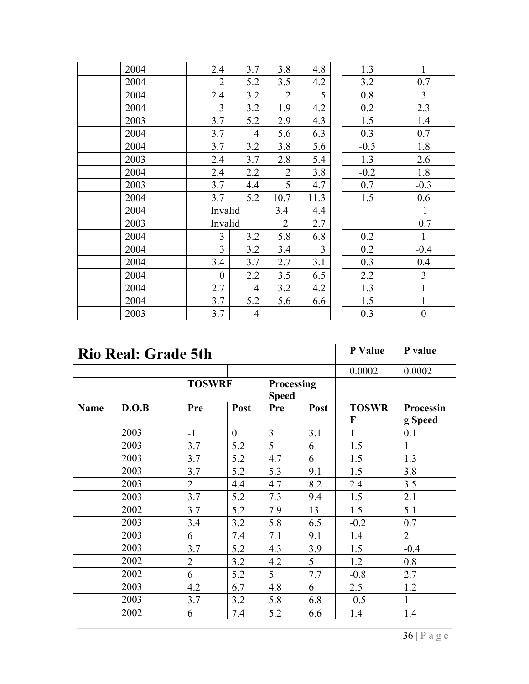| 2004 | 2.4              | 3.7            | 3.8            | 4.8            | 1.3    | $\mathbf{1}$     |
|------|------------------|----------------|----------------|----------------|--------|------------------|
| 2004 | $\overline{2}$   | 5.2            | 3.5            | 4.2            | 3.2    | 0.7              |
| 2004 | 2.4              | 3.2            | $\overline{2}$ | 5              | 0.8    | $\overline{3}$   |
| 2004 | $\overline{3}$   | 3.2            | 1.9            | 4.2            | 0.2    | 2.3              |
| 2003 | 3.7              | 5.2            | 2.9            | 4.3            | 1.5    | 1.4              |
| 2004 | 3.7              | $\overline{4}$ | 5.6            | 6.3            | 0.3    | 0.7              |
| 2004 | 3.7              | 3.2            | 3.8            | 5.6            | $-0.5$ | 1.8              |
| 2003 | 2.4              | 3.7            | 2.8            | 5.4            | 1.3    | 2.6              |
| 2004 | 2.4              | 2.2            | $\overline{2}$ | 3.8            | $-0.2$ | 1.8              |
| 2003 | 3.7              | 4.4            | 5              | 4.7            | 0.7    | $-0.3$           |
| 2004 | 3.7              | 5.2            | 10.7           | 11.3           | 1.5    | 0.6              |
| 2004 | Invalid          |                | 3.4            | 4.4            |        | $\mathbf{1}$     |
| 2003 | Invalid          |                | $\overline{2}$ | 2.7            |        | 0.7              |
| 2004 | $\overline{3}$   | 3.2            | 5.8            | 6.8            | 0.2    | $\mathbf{1}$     |
| 2004 | $\overline{3}$   | 3.2            | 3.4            | $\overline{3}$ | 0.2    | $-0.4$           |
| 2004 | 3.4              | 3.7            | 2.7            | 3.1            | 0.3    | 0.4              |
| 2004 | $\boldsymbol{0}$ | 2.2            | 3.5            | 6.5            | 2.2    | $\overline{3}$   |
| 2004 | 2.7              | $\overline{4}$ | 3.2            | 4.2            | 1.3    | $\mathbf{1}$     |
| 2004 | 3.7              | 5.2            | 5.6            | 6.6            | 1.5    | $\mathbf{1}$     |
| 2003 | 3.7              | $\overline{4}$ |                |                | 0.3    | $\boldsymbol{0}$ |

| <b>Rio Real: Grade 5th</b> |       |                |                |                            |      | P Value      | P value        |
|----------------------------|-------|----------------|----------------|----------------------------|------|--------------|----------------|
|                            |       |                |                |                            |      | 0.0002       | 0.0002         |
|                            |       | <b>TOSWRF</b>  |                | Processing<br><b>Speed</b> |      |              |                |
|                            |       |                |                |                            |      |              |                |
| Name                       | D.O.B | Pre            | Post           | Pre                        | Post | <b>TOSWR</b> | Processin      |
|                            |       |                |                |                            |      | $\mathbf{F}$ | g Speed        |
|                            | 2003  | $-1$           | $\overline{0}$ | $\overline{3}$             | 3.1  | $\mathbf{1}$ | 0.1            |
|                            | 2003  | 3.7            | 5.2            | 5                          | 6    | 1.5          | $\mathbf{1}$   |
|                            | 2003  | 3.7            | 5.2            | 4.7                        | 6    | 1.5          | 1.3            |
|                            | 2003  | 3.7            | 5.2            | 5.3                        | 9.1  | 1.5          | 3.8            |
|                            | 2003  | $\overline{2}$ | 4.4            | 4.7                        | 8.2  | 2.4          | 3.5            |
|                            | 2003  | 3.7            | 5.2            | 7.3                        | 9.4  | 1.5          | 2.1            |
|                            | 2002  | 3.7            | 5.2            | 7.9                        | 13   | 1.5          | 5.1            |
|                            | 2003  | 3.4            | 3.2            | 5.8                        | 6.5  | $-0.2$       | 0.7            |
|                            | 2003  | 6              | 7.4            | 7.1                        | 9.1  | 1.4          | $\overline{2}$ |
|                            | 2003  | 3.7            | 5.2            | 4.3                        | 3.9  | 1.5          | $-0.4$         |
|                            | 2002  | $\overline{2}$ | 3.2            | 4.2                        | 5    | 1.2          | 0.8            |
|                            | 2002  | 6              | 5.2            | 5                          | 7.7  | $-0.8$       | 2.7            |
|                            | 2003  | 4.2            | 6.7            | 4.8                        | 6    | 2.5          | 1.2            |
|                            | 2003  | 3.7            | 3.2            | 5.8                        | 6.8  | $-0.5$       | $\mathbf{1}$   |
|                            | 2002  | 6              | 7.4            | 5.2                        | 6.6  | 1.4          | 1.4            |